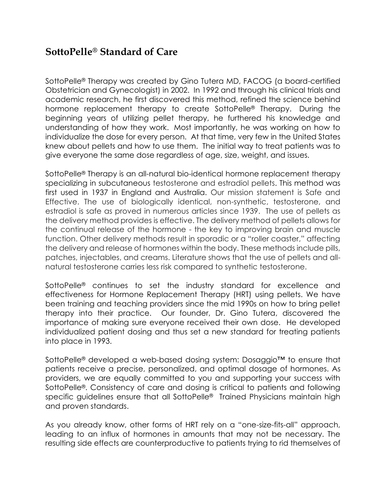## **SottoPelle® Standard of Care**

SottoPelle® Therapy was created by Gino Tutera MD, FACOG (a board-certified Obstetrician and Gynecologist) in 2002. In 1992 and through his clinical trials and academic research, he first discovered this method, refined the science behind hormone replacement therapy to create SottoPelle® Therapy. During the beginning years of utilizing pellet therapy, he furthered his knowledge and understanding of how they work. Most importantly, he was working on how to individualize the dose for every person. At that time, very few in the United States knew about pellets and how to use them. The initial way to treat patients was to give everyone the same dose regardless of age, size, weight, and issues.

SottoPelle® Therapy is an all-natural bio-identical hormone replacement therapy specializing in subcutaneous testosterone and estradiol pellets. This method was first used in 1937 in England and Australia. Our mission statement is Safe and Effective. The use of biologically identical, non-synthetic, testosterone, and estradiol is safe as proved in numerous articles since 1939. The use of pellets as the delivery method provides is effective. The delivery method of pellets allows for the continual release of the hormone - the key to improving brain and muscle function. Other delivery methods result in sporadic or a "roller coaster," affecting the delivery and release of hormones within the body. These methods include pills, patches, injectables, and creams. Literature shows that the use of pellets and allnatural testosterone carries less risk compared to synthetic testosterone.

SottoPelle® continues to set the industry standard for excellence and effectiveness for Hormone Replacement Therapy (HRT) using pellets. We have been training and teaching providers since the mid 1990s on how to bring pellet therapy into their practice. Our founder, Dr. Gino Tutera, discovered the importance of making sure everyone received their own dose. He developed individualized patient dosing and thus set a new standard for treating patients into place in 1993.

SottoPelle® developed a web-based dosing system: Dosaggio™ to ensure that patients receive a precise, personalized, and optimal dosage of hormones. As providers, we are equally committed to you and supporting your success with SottoPelle®. Consistency of care and dosing is critical to patients and following specific guidelines ensure that all SottoPelle® Trained Physicians maintain high and proven standards.

As you already know, other forms of HRT rely on a "one-size-fits-all" approach, leading to an influx of hormones in amounts that may not be necessary. The resulting side effects are counterproductive to patients trying to rid themselves of